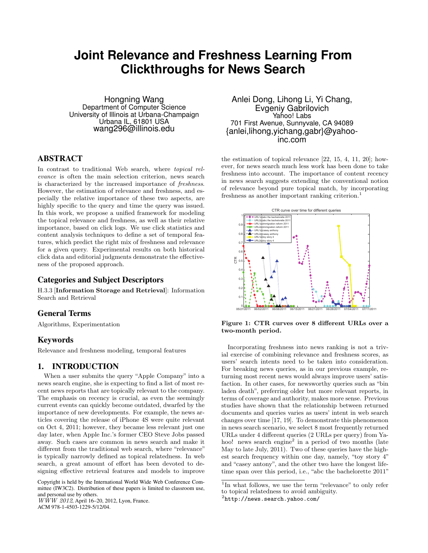# **Joint Relevance and Freshness Learning From Clickthroughs for News Search**

Hongning Wang Department of Computer Science University of Illinois at Urbana-Champaign Urbana IL, 61801 USA wang296@illinois.edu

# ABSTRACT

In contrast to traditional Web search, where *topical relevance* is often the main selection criterion, news search is characterized by the increased importance of *freshness*. However, the estimation of relevance and freshness, and especially the relative importance of these two aspects, are highly specific to the query and time the query was issued. In this work, we propose a unified framework for modeling the topical relevance and freshness, as well as their relative importance, based on click logs. We use click statistics and content analysis techniques to define a set of temporal features, which predict the right mix of freshness and relevance for a given query. Experimental results on both historical click data and editorial judgments demonstrate the effectiveness of the proposed approach.

# Categories and Subject Descriptors

H.3.3 [**Information Storage and Retrieval**]: Information Search and Retrieval

# General Terms

Algorithms, Experimentation

# Keywords

Relevance and freshness modeling, temporal features

# 1. INTRODUCTION

When a user submits the query "Apple Company" into a news search engine, she is expecting to find a list of most recent news reports that are topically relevant to the company. The emphasis on recency is crucial, as even the seemingly current events can quickly become outdated, dwarfed by the importance of new developments. For example, the news articles covering the release of iPhone 4S were quite relevant on Oct 4, 2011; however, they became less relevant just one day later, when Apple Inc.'s former CEO Steve Jobs passed away. Such cases are common in news search and make it different from the traditional web search, where "relevance" is typically narrowly defined as topical relatedness. In web search, a great amount of effort has been devoted to designing effective retrieval features and models to improve

*WWW 2012*, April 16–20, 2012, Lyon, France.

ACM 978-1-4503-1229-5/12/04.

Anlei Dong, Lihong Li, Yi Chang, Evgeniy Gabrilovich Yahoo! Labs 701 First Avenue, Sunnyvale, CA 94089 {anlei,lihong,yichang,gabr}@yahooinc.com

the estimation of topical relevance [22, 15, 4, 11, 20]; however, for news search much less work has been done to take freshness into account. The importance of content recency in news search suggests extending the conventional notion of relevance beyond pure topical match, by incorporating freshness as another important ranking criterion.<sup>1</sup>



**Figure 1: CTR curves over 8 different URLs over a two-month period.**

Incorporating freshness into news ranking is not a trivial exercise of combining relevance and freshness scores, as users' search intents need to be taken into consideration. For breaking news queries, as in our previous example, returning most recent news would always improve users' satisfaction. In other cases, for newsworthy queries such as "bin laden death", preferring older but more relevant reports, in terms of coverage and authority, makes more sense. Previous studies have shown that the relationship between returned documents and queries varies as users' intent in web search changes over time [17, 19]. To demonstrate this phenomenon in news search scenario, we select 8 most frequently returned URLs under 4 different queries (2 URLs per query) from Yahoo! news search engine<sup>2</sup> in a period of two months (late May to late July, 2011). Two of these queries have the highest search frequency within one day, namely, "toy story 4" and "casey antony", and the other two have the longest lifetime span over this period, i.e., "abc the bachelorette 2011"

Copyright is held by the International World Wide Web Conference Committee (IW3C2). Distribution of these papers is limited to classroom use, and personal use by others.

<sup>&</sup>lt;sup>1</sup>In what follows, we use the term "relevance" to only refer to topical relatedness to avoid ambiguity.

 $^{2}$ http://news.search.yahoo.com/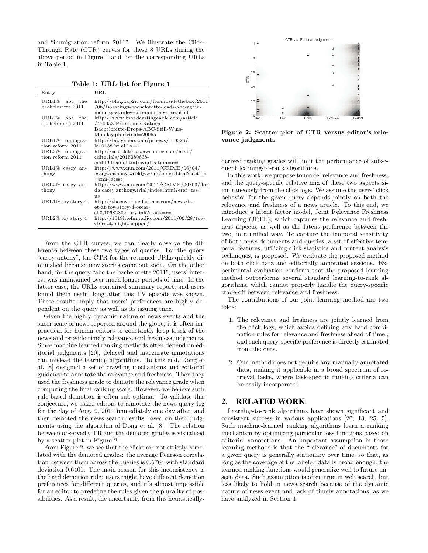and "immigration reform 2011". We illustrate the Click-Through Rate (CTR) curves for these 8 URLs during the above period in Figure 1 and list the corresponding URLs in Table 1.

**Table 1: URL list for Figure 1**

| $_{\rm Entry}$                | URL                                                                                     |
|-------------------------------|-----------------------------------------------------------------------------------------|
| URL1@abc<br>the               | http://blog.zap2it.com/frominsidethebox/2011                                            |
| bachelorette 2011             | $/06$ /tv-ratings-bachelorette-leads-abc-again-<br>monday-stanley-cup-numbers-rise.html |
| URL2@<br>- abc<br>the         | http://www.broadcastingcable.com/article                                                |
| bachelorette 2011             | /470053-Primetime-Ratings-                                                              |
|                               | Bachelorette-Drops-ABC-Still-Wins-                                                      |
|                               | Monday.php?rssid=20065                                                                  |
| URL1 <sup>@</sup> immigra-    | http://biz.yahoo.com/prnews/110526/                                                     |
| tion reform 2011              | $la10138.html$ . $v=1$                                                                  |
| URL2 <sup>@</sup> immigra-    | http://seattletimes.nwsource.com/html/                                                  |
| tion reform 2011              | editorials/2015089638-                                                                  |
|                               | edit19dream.html?syndication=rss                                                        |
| URL1 <sup>®</sup> casey an-   | http://www.cnn.com/2011/CRIME/06/04/                                                    |
| thony                         | casey.anthony.weekly.wrap/index.html?section<br>$=$ cnn-latest                          |
| URL2 <sup>®</sup> casey an-   | http://www.cnn.com/2011/CRIME/06/03/flori                                               |
| thony                         | da.casey.anthony.trial/index.html?eref=rss-                                             |
|                               | 11S                                                                                     |
| URL1@ toy story 4             | http://theenvelope.latimes.com/news/la-                                                 |
|                               | et-at-toy-story-4-oscar-                                                                |
|                               | $sl$ ,0,1068280.storylink?track=rss                                                     |
| URL2 <sup>®</sup> toy story 4 | http://1019litefm.radio.com/2011/06/28/toy-<br>$story-4-might-happen/$                  |

From the CTR curves, we can clearly observe the difference between these two types of queries. For the query "casey antony", the CTR for the returned URLs quickly diminished because new stories came out soon. On the other hand, for the query "abc the bachelorette 2011", users' interest was maintained over much longer periods of time. In the latter case, the URLs contained summary report, and users found them useful long after this TV episode was shown. These results imply that users' preferences are highly dependent on the query as well as its issuing time.

Given the highly dynamic nature of news events and the sheer scale of news reported around the globe, it is often impractical for human editors to constantly keep track of the news and provide timely relevance and freshness judgments. Since machine learned ranking methods often depend on editorial judgments [20], delayed and inaccurate annotations can mislead the learning algorithms. To this end, Dong et al. [8] designed a set of crawling mechanisms and editorial guidance to annotate the relevance and freshness. Then they used the freshness grade to demote the relevance grade when computing the final ranking score. However, we believe such rule-based demotion is often sub-optimal. To validate this conjecture, we asked editors to annotate the news query log for the day of Aug. 9, 2011 immediately one day after, and then demoted the news search results based on their judgments using the algorithm of Dong et al. [8]. The relation between observed CTR and the demoted grades is visualized by a scatter plot in Figure 2.

From Figure 2, we see that the clicks are not strictly correlated with the demoted grades: the average Pearson correlation between them across the queries is 0.5764 with standard deviation 0.6401. The main reason for this inconsistency is the hard demotion rule: users might have different demotion preferences for different queries, and it's almost impossible for an editor to predefine the rules given the plurality of possibilities. As a result, the uncertainty from this heuristically-



**Figure 2: Scatter plot of CTR versus editor's relevance judgments**

derived ranking grades will limit the performance of subsequent learning-to-rank algorithms.

In this work, we propose to model relevance and freshness, and the query-specific relative mix of these two aspects simultaneously from the click logs. We assume the users' click behavior for the given query depends jointly on both the relevance and freshness of a news article. To this end, we introduce a latent factor model, Joint Relevance Freshness Learning (JRFL), which captures the relevance and freshness aspects, as well as the latent preference between the two, in a unified way. To capture the temporal sensitivity of both news documents and queries, a set of effective temporal features, utilizing click statistics and content analysis techniques, is proposed. We evaluate the proposed method on both click data and editorially annotated sessions. Experimental evaluation confirms that the proposed learning method outperforms several standard learning-to-rank algorithms, which cannot properly handle the query-specific trade-off between relevance and freshness.

The contributions of our joint learning method are two folds:

- 1. The relevance and freshness are jointly learned from the click logs, which avoids defining any hard combination rules for relevance and freshness ahead of time , and such query-specific preference is directly estimated from the data.
- 2. Our method does not require any manually annotated data, making it applicable in a broad spectrum of retrieval tasks, where task-specific ranking criteria can be easily incorporated.

# 2. RELATED WORK

Learning-to-rank algorithms have shown significant and consistent success in various applications [20, 13, 25, 5]. Such machine-learned ranking algorithms learn a ranking mechanism by optimizing particular loss functions based on editorial annotations. An important assumption in those learning methods is that the "relevance" of documents for a given query is generally stationary over time, so that, as long as the coverage of the labeled data is broad enough, the learned ranking functions would generalize well to future unseen data. Such assumption is often true in web search, but less likely to hold in news search because of the dynamic nature of news event and lack of timely annotations, as we have analyzed in Section 1.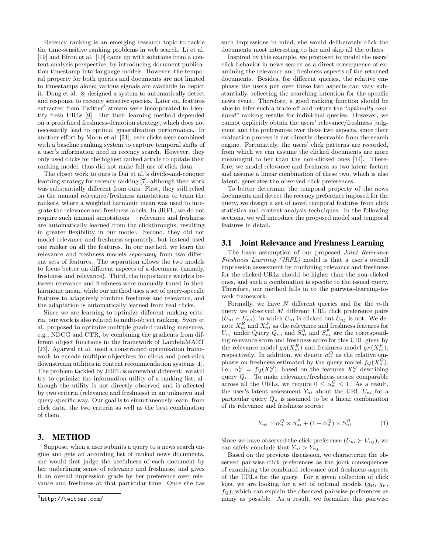Recency ranking is an emerging research topic to tackle the time-sensitive ranking problems in web search. Li et al. [19] and Efron et al. [10] came up with solutions from a content analysis perspective, by introducing document publication timestamp into language models. However, the temporal property for both queries and documents are not limited to timestamps alone; various signals are available to depict it. Dong et al. [8] designed a system to automatically detect and response to recency sensitive queries. Later on, features extracted from Twitter<sup>3</sup> stream were incorporated to identify fresh URLs [9]. But their learning method depended on a predefined freshness-demotion strategy, which does not necessarily lead to optimal generalization performance. In another effort by Moon et al. [21], user clicks were combined with a baseline ranking system to capture temporal shifts of a user's information need in recency search. However, they only used clicks for the highest ranked article to update their ranking model, thus did not make full use of click data.

The closet work to ours is Dai et al.'s divide-and-conquer learning strategy for recency ranking [7], although their work was substantially different from ours. First, they still relied on the manual relevance/freshness annotations to train the rankers, where a weighted harmonic mean was used to integrate the relevance and freshness labels. In JRFL, we do not require such manual annotations — relevance and freshness are automatically learned from the clickthroughs, resulting in greater flexibility in our model. Second, they did not model relevance and freshness separately, but instead used one ranker on all the features. In our method, we learn the relevance and freshness models *separately* from two different sets of features. The separation allows the two models to focus better on different aspects of a document (namely, freshness and relevance). Third, the importance weights between relevance and freshness were manually tuned in their harmonic mean, while our method uses a set of query-specific features to adaptively combine freshness and relevance, and the adaptation is automatically learned from real clicks.

Since we are learning to optimize different ranking criteria, our work is also related to multi-object ranking. Svore et al. proposed to optimize multiple graded ranking measures, e.g., NDCG and CTR, by combining the gradients from different object functions in the framework of LambdaMART [23]. Agarwal et al. used a constrained optimization framework to encode multiple objectives for clicks and post-click downstream utilities in content recommendation systems [1]. The problem tackled by JRFL is somewhat different: we still try to optimize the information utility of a ranking list, although the utility is not directly observed and is affected by two criteria (relevance and freshness) in an unknown and query-specific way. Our goal is to simultaneously learn, from click data, the two criteria as well as the best combination of them.

# 3. METHOD

Suppose, when a user submits a query to a news search engine and gets an according list of ranked news documents, she would first judge the usefulness of each document by her underlining sense of relevance and freshness, and gives it an overall impression grade by her preference over relevance and freshness at that particular time. Once she has

such impressions in mind, she would deliberately click the documents most interesting to her and skip all the others.

Inspired by this example, we proposed to model the users' click behavior in news search as a direct consequence of examining the relevance and freshness aspects of the returned documents. Besides, for different queries, the relative emphasis the users put over these two aspects can vary substantially, reflecting the searching intention for the specific news event. Therefore, a good ranking function should be able to infer such a trade-off and return the "*optimally combined*" ranking results for individual queries. However, we cannot explicitly obtain the users' relevance/freshness judgment and the preferences over these two aspects, since their evaluation process is not directly observable from the search engine. Fortunately, the users' click patterns are recorded, from which we can assume the clicked documents are more meaningful to her than the non-clicked ones [14]. Therefore, we model relevance and freshness as two latent factors and assume a linear combination of these two, which is also latent, generates the observed click preferences.

To better determine the temporal property of the news documents and detect the recency preference imposed for the query, we design a set of novel temporal features from click statistics and content-analysis techniques. In the following sections, we will introduce the proposed model and temporal features in detail.

# 3.1 Joint Relevance and Freshness Learning

The basic assumption of our proposed *Joint Relevance Freshness Learning (JRFL)* model is that a user's overall impression assessment by combining relevance and freshness for the clicked URLs should be higher than the non-clicked ones, and such a combination is specific to the issued query. Therefore, our method falls in to the pairwise-learning-torank framework.

Formally, we have *N* different queries and for the *n*-th query we observed *M* different URL click preference pairs  $(U_{ni} \succ U_{nj})$ , in which  $U_{ni}$  is clicked but  $U_{nj}$  is not. We denote  $X_{ni}^R$  and  $X_{ni}^F$  as the relevance and freshness features for  $U_{ni}$  under Query  $Q_n$ , and  $S_{ni}^R$  and  $S_{ni}^F$  are the corresponding relevance score and freshness score for this URL given by the relevance model  $g_R(X_{ni}^R)$  and freshness model  $g_F(X_{ni}^F)$ , respectively. In addition, we denote  $\alpha_n^Q$  as the relative emphasis on freshness estimated by the query model  $f_Q(X_n^Q)$ , i.e.,  $\alpha_n^Q = f_Q(X_n^Q)$ , based on the features  $X_n^Q$  describing query  $Q_n$ . To make relevance/freshness scores comparable across all the URLs, we require  $0 \leq \alpha_n^Q \leq 1$ . As a result, the user's latent assessment  $Y_{ni}$  about the URL  $U_{ni}$  for a particular query  $Q_n$  is assumed to be a linear combination of its relevance and freshness scores:

$$
Y_{ni} = \alpha_n^Q \times S_{ni}^F + (1 - \alpha_n^Q) \times S_{ni}^R \tag{1}
$$

Since we have observed the click preference  $(U_{ni} \succ U_{nj})$ , we can safely conclude that  $Y_{ni} > Y_{nj}$ .

Based on the previous discussion, we characterize the observed pairwise click preferences as the joint consequences of examining the combined relevance and freshness aspects of the URLs for the query. For a given collection of click logs, we are looking for a set of optimal models  $(g_R, g_F,$  $f_Q$ ), which can explain the observed pairwise preferences as many as possible. As a result, we formalize this pairwise

 ${}^{3}$ http://twitter.com/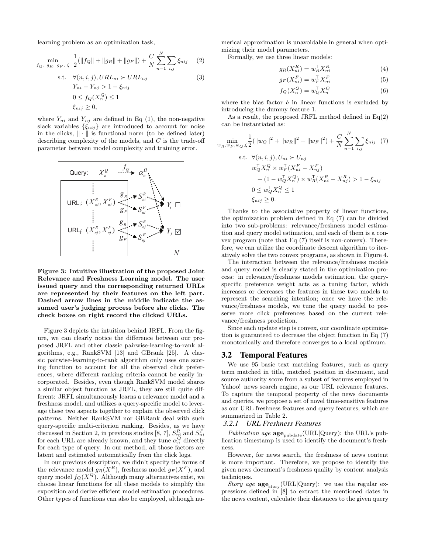learning problem as an optimization task,

$$
\min_{f_Q, g_R, g_F, \xi} \frac{1}{2} (\|f_Q\| + \|g_R\| + \|g_F\|) + \frac{C}{N} \sum_{n=1}^N \sum_{i,j} \xi_{nij} \tag{2}
$$

s.t. 
$$
\forall (n, i, j), URL_{ni} \succ URL_{nj}
$$

$$
Y_{ni} - Y_{nj} > 1 - \xi_{nij}
$$

$$
0 \le f_Q(X_n^Q) \le 1
$$

$$
\xi_{nij} \ge 0,
$$

where  $Y_{ni}$  and  $Y_{nj}$  are defined in Eq (1), the non-negative slack variables  $\{\xi_{nij}\}\$ are introduced to account for noise in the clicks, *∥ · ∥* is functional norm (to be defined later) describing complexity of the models, and *C* is the trade-off parameter between model complexity and training error.



**Figure 3: Intuitive illustration of the proposed Joint Relevance and Freshness Learning model. The user issued query and the corresponding returned URLs are represented by their features on the left part. Dashed arrow lines in the middle indicate the assumed user's judging process before she clicks. The check boxes on right record the clicked URLs.**

Figure 3 depicts the intuition behind JRFL. From the figure, we can clearly notice the difference between our proposed JRFL and other classic pairwise-learning-to-rank algorithms, e.g., RankSVM [13] and GBrank [25]. A classic pairwise-learning-to-rank algorithm only uses one scoring function to account for all the observed click preferences, where different ranking criteria cannot be easily incorporated. Besides, even though RankSVM model shares a similar object function as JRFL, they are still quite different: JRFL simultaneously learns a relevance model and a freshness model, and utilizes a query-specific model to leverage these two aspects together to explain the observed click patterns. Neither RankSVM nor GBRank deal with such query-specific multi-criterion ranking. Besides, as we have discussed in Section 2, in previous studies [8, 7],  $S_{ni}^R$  and  $S_{ni}^F$ for each URL are already known, and they tune  $\alpha_n^Q$  directly for each type of query. In our method, all those factors are latent and estimated automatically from the click logs.

In our previous description, we didn't specify the forms of the relevance model  $g_R(X^R)$ , freshness model  $g_F(X^F)$ , and query model  $f_Q(X^Q)$ . Although many alternatives exist, we choose linear functions for all these models to simplify the exposition and derive efficient model estimation procedures. Other types of functions can also be employed, although numerical approximation is unavoidable in general when optimizing their model parameters.

Formally, we use three linear models:

$$
g_R(X_{ni}^R) = w_R^\mathsf{T} X_{ni}^R \tag{4}
$$

$$
g_F(X_{ni}^F) = w_F^{\mathsf{T}} X_{ni}^F \tag{5}
$$

$$
f_Q(X_n^Q) = w_Q^{\mathsf{T}} X_n^Q \tag{6}
$$

where the bias factor  $b$  in linear functions is excluded by introducing the dummy feature 1.

As a result, the proposed JRFL method defined in Eq(2) can be instantiated as:

$$
\min_{w_R, w_F, w_Q, \xi} \frac{1}{2} (\|w_Q\|^2 + \|w_R\|^2 + \|w_F\|^2) + \frac{C}{N} \sum_{n=1}^N \sum_{i,j} \xi_{nij} \tag{7}
$$

s.t. 
$$
\forall (n, i, j), U_{ni} \succ U_{nj}
$$

$$
w_Q^{\mathsf{T}} X_n^Q \times w_F^{\mathsf{T}} (X_{ni}^F - X_{nj}^F)
$$

$$
+ (1 - w_Q^{\mathsf{T}} X_n^Q) \times w_R^{\mathsf{T}} (X_{ni}^R - X_{nj}^R) > 1 - \xi_{nij}
$$

$$
0 \le w_Q^{\mathsf{T}} X_n^Q \le 1
$$

$$
\xi_{nij} \ge 0.
$$

Thanks to the associative property of linear functions, the optimization problem defined in Eq (7) can be divided into two sub-problems: relevance/freshness model estimation and query model estimation, and each of them is a convex program (note that Eq (7) itself is non-convex). Therefore, we can utilize the coordinate descent algorithm to iteratively solve the two convex programs, as shown in Figure 4.

The interaction between the relevance/freshness models and query model is clearly stated in the optimization process: in relevance/freshness models estimation, the queryspecific preference weight acts as a tuning factor, which increases or decreases the features in these two models to represent the searching intention; once we have the relevance/freshness models, we tune the query model to preserve more click preferences based on the current relevance/freshness prediction.

Since each update step is convex, our coordinate optimization is guaranteed to decrease the object function in Eq (7) monotonically and therefore converges to a local optimum.

#### 3.2 Temporal Features

We use 95 basic text matching features, such as query term matched in title, matched position in document, and source authority score from a subset of features employed in Yahoo! news search engine, as our URL relevance features. To capture the temporal property of the news documents and queries, we propose a set of novel time-sensitive features as our URL freshness features and query features, which are summarized in Table 2.

#### *3.2.1 URL Freshness Features*

*Publication age* **age**<sub>pubdate</sub>(URL|Query): the URL's publication timestamp is used to identify the document's freshness.

However, for news search, the freshness of news content is more important. Therefore, we propose to identify the given news document's freshness quality by content analysis techniques.

*Story age* **age**<sub>story</sub>(URL|Query): we use the regular expressions defined in [8] to extract the mentioned dates in the news content, calculate their distances to the given query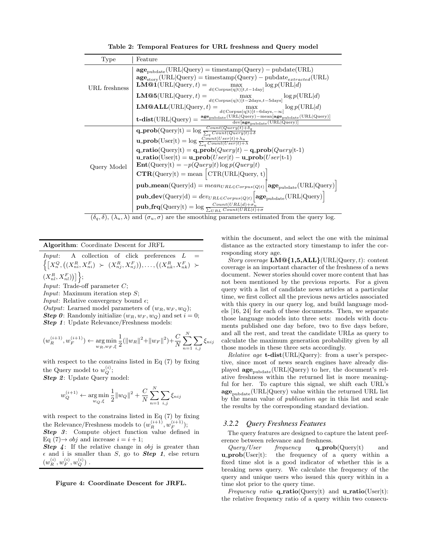| Type          | Feature                                                                                                                                                                                                                                                                                                                                                                                                                                                                                                                                                                                                                                                                                                                                                                                                                                                                                            |
|---------------|----------------------------------------------------------------------------------------------------------------------------------------------------------------------------------------------------------------------------------------------------------------------------------------------------------------------------------------------------------------------------------------------------------------------------------------------------------------------------------------------------------------------------------------------------------------------------------------------------------------------------------------------------------------------------------------------------------------------------------------------------------------------------------------------------------------------------------------------------------------------------------------------------|
| URL freshness | $\mathbf{age}_{\text{pubdate}}(\text{URL}  \text{Query}) = \text{timestamp}( \text{Query}) - \text{pubdate}(\text{URL})$<br>$\textbf{age}_{\text{storv}}(\text{URL} Q\text{uery}) = \text{timestamp}(Q\text{uery}) - \text{pubdate}_{extracted}(\text{URL})$<br>$\mathbf{LM@1}(\mathrm{URL} \mathrm{Query},t)=\max_{d\in\mathrm{Corpus}(\mathrm{q t)}[t,t-1\mathrm{day}]}\log p(\mathrm{URL} d)$                                                                                                                                                                                                                                                                                                                                                                                                                                                                                                   |
|               | $\textbf{LM@5}(\text{URL}  \text{Query}, t) = \max_{d \in \text{Corpus}( \text{q t}) [t - 2 \text{days}, t - 5 \text{days}]} \log p(\text{URL} d)$<br>$\textbf{LM@ALL}(\text{URL} \text{Query},t) = \max_{d \in \text{Corpus}(q t)[t-6 \text{days},-\infty]} \log p(\text{URL} d)$                                                                                                                                                                                                                                                                                                                                                                                                                                                                                                                                                                                                                 |
|               | $\textbf{t-dist}(\text{URL}  \text{Query}) = \tfrac{\textbf{age}_{\text{plbdate}}(\text{URL}  \text{Query}) - \text{mean}[\textbf{age}_{\text{plbdate}}(\text{URL}  \text{Query})]}{\text{dev}[\textbf{age}_{\text{plbdate}}(\text{URL}  \text{Query})]}$                                                                                                                                                                                                                                                                                                                                                                                                                                                                                                                                                                                                                                          |
| Query Model   | $\mathbf{q\_prob}(\mathrm{Query} t) = \log \frac{Count(Query t) + \delta_q}{\sum_q Count(Query t) + \delta_q}$<br>$\mathbf{u\_prob}(\mathrm{User} t) = \log \frac{Count(User t) + \lambda_u}{\sum_q Count(User t) + \lambda_u}$<br>$q\_ratio(Query t) = q\_prob(Query t) - q\_prob(Query t-1)$<br>$u$ <b>-ratio</b> (User t) = $u$ <b>-prob</b> (User t) – $u$ <b>-prob</b> (User t-1)<br>$\text{Ent}(\text{Query} t) = -p(Query t) \log p(Query t)$<br>$\mathbf{CTR}(\text{Query} t) = \text{mean}   \text{CTR}(\text{URL}  \text{Query}, t)  $<br><b>pub_mean</b> ( $\text{Query} d$ ) = $mean_{URL \in Corpus(Q t)}$   $\text{age}_{\text{pubdate}}(URL Query)$  <br><b>pub_dev</b> ( $Q$ uery d) = $dev_{URL \in Corpus(Q t)}$ $\left[\textbf{age}_{\text{pubdate}}(URL Query)\right]$<br><b>pub_frq</b> (Query t) = $\log \frac{Count(URL d) + \sigma_u}{\sum_{URL} Count(URL t) + \sigma_u}$ |
| $\sim$        | $\mathbf{1}$                                                                                                                                                                                                                                                                                                                                                                                                                                                                                                                                                                                                                                                                                                                                                                                                                                                                                       |

**Table 2: Temporal Features for URL freshness and Query model**

 $(\delta_q, \delta)$ ,  $(\lambda_u, \lambda)$  and  $(\sigma_u, \sigma)$  are the smoothing parameters estimated from the query log.

**Algorithm**: Coordinate Descent for JRFL

*Input*  $\Big\{ \Big[X_n^Q, \big( (X_n^R, X_{ni}^F) \succ (X_{nj}^R, X_{nj}^F) \big), \ldots, \big( (X_{nk}^R, X_{nk}^F) \succ$ A collection of click preferences *L*  $(X_{nl}^R, X_{nl}^F)$ ] }; *Input*: Trade-off parameter *C*; *Input*: Maximum iteration step *S*; *Input*: Relative convergency bound *ϵ*; *Output*: Learned model parameters of  $(w_R, w_F, w_Q)$ ; *Step 0*: Randomly initialize  $(w_R, w_F, w_Q)$  and set  $i = 0$ ; *Step 1*: Update Relevance/Freshness models:

$$
(w_R^{(i+1)}, w_F^{(i+1)}) \leftarrow \underset{w_R, w_F, \xi}{\arg \min} \frac{1}{2} (\|w_R\|^2 + \|w_F\|^2) + \frac{C}{N} \sum_{n=1}^N \sum_{i,j} \xi_{nij}
$$

with respect to the constrains listed in Eq (7) by fixing the Query model to  $w_Q^{(i)}$ ; *Step 2*: Update Query model:

$$
w_Q^{(i+1)} \leftarrow \underset{w_Q, \xi}{\arg \min} \frac{1}{2} ||w_Q||^2 + \frac{C}{N} \sum_{n=1}^N \sum_{i,j} \xi_{nij}
$$

∑*N*

with respect to the constrains listed in Eq (7) by fixing the Relevance/Freshness models to  $(w_R^{(i+1)}, w_F^{(i+1)})$ ; *Step 3*: Compute object function value defined in Eq  $(7) \rightarrow obj$  and increase  $i = i + 1$ ;

*Step 4*: If the relative change in *obj* is greater than  $\epsilon$  and *i* is smaller than *S*, go to *Step 1*, else return  $(w_R^{(i)}, w_F^{(i)}, w_Q^{(i)})$ .

**Figure 4: Coordinate Descent for JRFL.**

within the document, and select the one with the minimal distance as the extracted story timestamp to infer the corresponding story age.

*Story coverage* **LM@***{***1,5,ALL***}*(URL*|*Query*, t*): content coverage is an important character of the freshness of a news document. Newer stories should cover more content that has not been mentioned by the previous reports. For a given query with a list of candidate news articles at a particular time, we first collect all the previous news articles associated with this query in our query log, and build language models [16, 24] for each of these documents. Then, we separate those language models into three sets: models with documents published one day before, two to five days before, and all the rest, and treat the candidate URLs as query to calculate the maximum generation probability given by all those models in these three sets accordingly.

*Relative age* **t-dist**(URL*|*Query): from a user's perspective, since most of news search engines have already displayed  $age_{\text{subdate}}(URL|Query)$  to her, the document's relative freshness within the returned list is more meaningful for her. To capture this signal, we shift each URL's **age**pubdate(URL*|*Query) value within the returned URL list by the mean value of *publication age* in this list and scale the results by the corresponding standard deviation.

#### *3.2.2 Query Freshness Features*

The query features are designed to capture the latent preference between relevance and freshness.

*Query/User frequency* **q prob**(Query*|*t) and **u prob**(User*|*t): the frequency of a query within a fixed time slot is a good indicator of whether this is a breaking news query. We calculate the frequency of the query and unique users who issued this query within in a time slot prior to the query time.

*Frequency ratio* **q ratio**(Query*|*t) and **u ratio**(User*|*t): the relative frequency ratio of a query within two consecu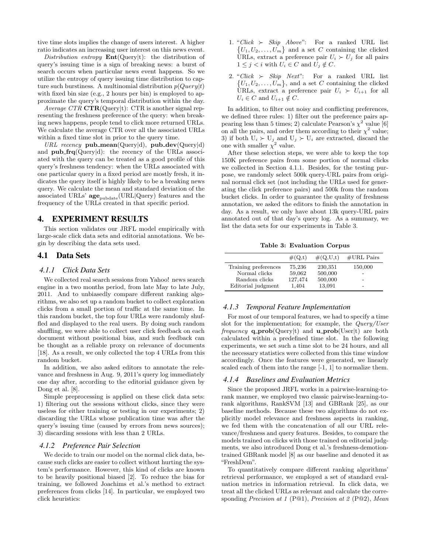tive time slots implies the change of users interest. A higher ratio indicates an increasing user interest on this news event.

*Distribution entropy* **Ent**(Query*|*t): the distribution of query's issuing time is a sign of breaking news: a burst of search occurs when particular news event happens. So we utilize the entropy of query issuing time distribution to capture such burstiness. A multinomial distribution  $p(Query|t)$ with fixed bin size (e.g., 2 hours per bin) is employed to approximate the query's temporal distribution within the day.

*Average CTR* **CTR**(Query*|*t): CTR is another signal representing the freshness preference of the query: when breaking news happens, people tend to click more returned URLs. We calculate the average CTR over all the associated URLs within a fixed time slot in prior to the query time.

*URL recency* **pub mean**(Query*|*d), **pub dev**(Query*|*d) and **pub frq**(Query*|*d): the recency of the URLs associated with the query can be treated as a good profile of this query's freshness tendency: when the URLs associated with one particular query in a fixed period are mostly fresh, it indicates the query itself is highly likely to be a breaking news query. We calculate the mean and standard deviation of the associated URLs'  $\mathbf{age}_{\text{public}}(URL|Query)$  features and the frequency of the URLs created in that specific period.

# 4. EXPERIMENT RESULTS

This section validates our JRFL model empirically with large-scale click data sets and editorial annotations. We begin by describing the data sets used.

# 4.1 Data Sets

#### *4.1.1 Click Data Sets*

We collected real search sessions from Yahoo! news search engine in a two months period, from late May to late July, 2011. And to unbiasedly compare different ranking algorithms, we also set up a random bucket to collect exploration clicks from a small portion of traffic at the same time. In this random bucket, the top four URLs were randomly shuffled and displayed to the real users. By doing such random shuffling, we were able to collect user click feedback on each document without positional bias, and such feedback can be thought as a reliable proxy on relevance of documents [18]. As a result, we only collected the top 4 URLs from this random bucket.

In addition, we also asked editors to annotate the relevance and freshness in Aug. 9, 2011's query log immediately one day after, according to the editorial guidance given by Dong et al. [8].

Simple preprocessing is applied on these click data sets: 1) filtering out the sessions without clicks, since they were useless for either training or testing in our experiments; 2) discarding the URLs whose publication time was after the query's issuing time (caused by errors from news sources); 3) discarding sessions with less than 2 URLs.

#### *4.1.2 Preference Pair Selection*

We decide to train our model on the normal click data, because such clicks are easier to collect without hurting the system's performance. However, this kind of clicks are known to be heavily positional biased [2]. To reduce the bias for training, we followed Joachims et al.'s method to extract preferences from clicks [14]. In particular, we employed two click heuristics:

- 1. "*Click ≻ Skip Above*": For a ranked URL list  $\{U_1, U_2, \ldots, U_m\}$  and a set *C* containing the clicked URLs, extract a preference pair  $U_i \succ U_j$  for all pairs  $1 \leq j \leq i$  with  $U_i \in C$  and  $U_j \notin C$ .
- 2. " $Click \geq Sixp$  *Next*": For a ranked URL list  $\{U_1, U_2, \ldots, U_m\}$ , and a set *C* containing the clicked URLs, extract a preference pair  $U_i \succ U_{i+1}$  for all  $U_i \in C$  and  $U_{i+1} \notin C$ .

In addition, to filter out noisy and conflicting preferences, we defined three rules: 1) filter out the preference pairs appearing less than 5 times; 2) calculate Pearson's  $\chi^2$  value [6] on all the pairs, and order them according to their  $\chi^2$  value; 3) if both  $U_i$  *≻*  $U_j$  and  $U_j$  *≻*  $U_i$  are extracted, discard the one with smaller  $\chi^2$  value.

After these selection steps, we were able to keep the top 150K preference pairs from some portion of normal clicks we collected in Section 4.1.1. Besides, for the testing purpose, we randomly select 500k query-URL pairs from original normal click set (not including the URLs used for generating the click preference pairs) and 500k from the random bucket clicks. In order to guarantee the quality of freshness annotation, we asked the editors to finish the annotation in day. As a result, we only have about 13k query-URL pairs annotated out of that day's query log. As a summary, we list the data sets for our experiments in Table 3.

**Table 3: Evaluation Corpus**

|                      | $\#(Q,t)$ | $\#(Q,U,t)$ | $\#URL$ Pairs            |
|----------------------|-----------|-------------|--------------------------|
| Training preferences | 75,236    | 230,351     | 150,000                  |
| Normal clicks        | 59,062    | 500,000     | $\overline{\phantom{0}}$ |
| Random clicks        | 127,474   | 500,000     |                          |
| Editorial judgment   | 1.404     | 13,091      | $\overline{\phantom{0}}$ |

#### *4.1.3 Temporal Feature Implementation*

For most of our temporal features, we had to specify a time slot for the implementation; for example, the *Query/User frequency* **q prob**(Query*|*t) and **u prob**(User*|*t) are both calculated within a predefined time slot. In the following experiments, we set such a time slot to be 24 hours, and all the necessary statistics were collected from this time window accordingly. Once the features were generated, we linearly scaled each of them into the range [-1, 1] to normalize them.

### *4.1.4 Baselines and Evaluation Metrics*

Since the proposed JRFL works in a pairwise-learning-torank manner, we employed two classic pairwise-learning-torank algorithms, RankSVM [13] and GBRank [25], as our baseline methods. Because these two algorithms do not explicitly model relevance and freshness aspects in ranking, we fed them with the concatenation of all our URL relevance/freshness and query features. Besides, to compare the models trained on clicks with those trained on editorial judgments, we also introduced Dong et al.'s freshness-demotiontrained GBRank model [8] as our baseline and denoted it as "FreshDem".

To quantitatively compare different ranking algorithms' retrieval performance, we employed a set of standard evaluation metrics in information retrieval. In click data, we treat all the clicked URLs as relevant and calculate the corresponding *Precision at 1* (P@1), *Precision at 2* (P@2), *Mean*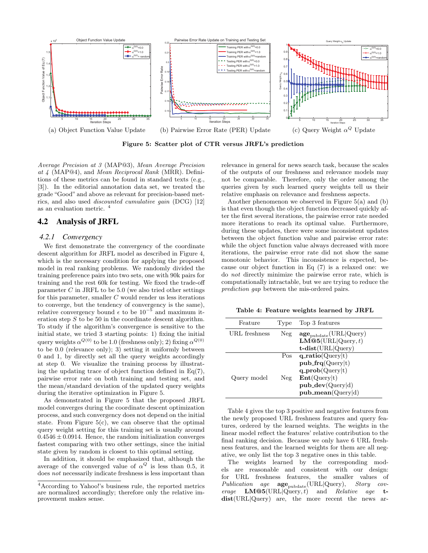

**Figure 5: Scatter plot of CTR versus JRFL's prediction**

*Average Precision at 3* (MAP@3), *Mean Average Precision at 4* (MAP@4), and *Mean Reciprocal Rank* (MRR). Definitions of these metrics can be found in standard texts (e.g., [3]). In the editorial annotation data set, we treated the grade "Good" and above as relevant for precision-based metrics, and also used *discounted cumulative gain* (DCG) [12] as an evaluation metric. <sup>4</sup>

# 4.2 Analysis of JRFL

#### *4.2.1 Convergency*

We first demonstrate the convergency of the coordinate descent algorithm for JRFL model as described in Figure 4, which is the necessary condition for applying the proposed model in real ranking problems. We randomly divided the training preference pairs into two sets, one with 90k pairs for training and the rest 60k for testing. We fixed the trade-off parameter *C* in JRFL to be 5*.*0 (we also tried other settings for this parameter, smaller *C* would render us less iterations to converge, but the tendency of convergency is the same), relative convergency bound *ϵ* to be 10*−*<sup>5</sup> and maximum iteration step *S* to be 50 in the coordinate descent algorithm. To study if the algorithm's convergence is sensitive to the initial state, we tried 3 starting points: 1) fixing the initial query weights  $\alpha^{Q(0)}$  to be 1.0 (freshness only); 2) fixing  $\alpha^{Q(0)}$ to be 0*.*0 (relevance only); 3) setting it uniformly between 0 and 1, by directly set all the query weights accordingly at step 0. We visualize the training process by illustrating the updating trace of object function defined in  $Eq(7)$ , pairwise error rate on both training and testing set, and the mean/standard deviation of the updated query weights during the iterative optimization in Figure 5.

As demonstrated in Figure 5 that the proposed JRFL model converges during the coordinate descent optimization process, and such convergency does not depend on the initial state. From Figure  $5(c)$ , we can observe that the optimal query weight setting for this training set is usually around  $0.4546 \pm 0.0914$ . Hence, the random initialization converges fastest comparing with two other settings, since the initial state given by random is closest to this optimal setting.

In addition, it should be emphasized that, although the average of the converged value of  $\alpha^Q$  is less than 0.5, it does *not* necessarily indicate freshness is less important than relevance in general for news search task, because the scales of the outputs of our freshness and relevance models may not be comparable. Therefore, only the order among the queries given by such learned query weights tell us their relative emphasis on relevance and freshness aspects.

Another phenomenon we observed in Figure 5(a) and (b) is that even though the object function decreased quickly after the first several iterations, the pairwise error rate needed more iterations to reach its optimal value. Furthermore, during these updates, there were some inconsistent updates between the object function value and pairwise error rate: while the object function value always decreased with more iterations, the pairwise error rate did not show the same monotonic behavior. This inconsistence is expected, because our object function in Eq (7) is a relaxed one: we do *not* directly minimize the pairwise error rate, which is computationally intractable, but we are trying to reduce the *prediction gap* between the mis-ordered pairs.

**Table 4: Feature weights learned by JRFL**

| Feature       | Type | Top 3 features                                            |
|---------------|------|-----------------------------------------------------------|
| URL freshness | Neg  | $\mathbf{age}_{\text{pubdate}}(\text{URL}  \text{Query})$ |
|               |      | LM@5(URL Query, t)                                        |
|               |      | $t$ -dist $(URL Query)$                                   |
|               | Pos  | $q$ _ratio( $Q$ uery t)                                   |
|               |      | $pub\_frq(Query t)$                                       |
|               |      | $q$ -prob( $Q$ uery t)                                    |
| Query model   | Neg  | Ent(Query t)                                              |
|               |      | $pub\_dev(Query d)$                                       |
|               |      | $pub\_mean(Query d)$                                      |

Table 4 gives the top 3 positive and negative features from the newly proposed URL freshness features and query features, ordered by the learned weights. The weights in the linear model reflect the features' relative contribution to the final ranking decision. Because we only have 6 URL freshness features, and the learned weights for them are all negative, we only list the top 3 negative ones in this table.

The weights learned by the corresponding models are reasonable and consistent with our design: for URL freshness features, the smaller values of *Publication age* **age**<sub>pubdate</sub>(URL|Query), *Story cov-*<br> *erage* **LM@5**(URL|Query,t) and *Relative age* **t-** $LM@5(URL|Query, t)$ **dist**(URL*|*Query) are, the more recent the news ar-

<sup>4</sup>According to Yahoo!'s business rule, the reported metrics are normalized accordingly; therefore only the relative improvement makes sense.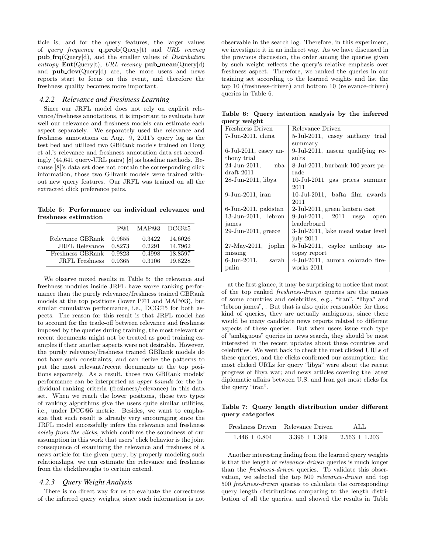ticle is; and for the query features, the larger values of *query frequency* **q prob**(Query*|*t) and *URL recency* **pub frq**(Query*|*d), and the smaller values of *Distribution entropy* **Ent**(Query*|*t), *URL recency* **pub mean**(Query*|*d) and **pub dev**(Query*|*d) are, the more users and news reports start to focus on this event, and therefore the freshness quality becomes more important.

#### *4.2.2 Relevance and Freshness Learning*

Since our JRFL model does not rely on explicit relevance/freshness annotations, it is important to evaluate how well our relevance and freshness models can estimate each aspect separately. We separately used the relevance and freshness annotations on Aug. 9, 2011's query log as the test bed and utilized two GBRank models trained on Dong et al,'s relevance and freshness annotation data set accordingly (44,641 query-URL pairs) [8] as baseline methods. Because [8]'s data set does not contain the corresponding click information, those two GBrank models were trained without new query features. Our JRFL was trained on all the extracted click preference pairs.

**Table 5: Performance on individual relevance and freshness estimation**

|                       | P@1    | MAP@3 DCG@5 |         |
|-----------------------|--------|-------------|---------|
| Relevance GBRank      | 0.9655 | 0.3422      | 14.6026 |
| <b>JRFL</b> Relevance | 0.8273 | 0.2291      | 14.7962 |
| Freshness GBRank      | 0.9823 | 0.4998      | 18.8597 |
| <b>JRFL</b> Freshness | 0.9365 | 0.3106      | 19.8228 |

We observe mixed results in Table 5: the relevance and freshness modules inside JRFL have worse ranking performance than the purely relevance/freshness trained GBRank models at the top positions (lower P@1 and MAP@3), but similar cumulative performance, i.e., DCG@5 for both aspects. The reason for this result is that JRFL model has to account for the trade-off between relevance and freshness imposed by the queries during training, the most relevant or recent documents might not be treated as good training examples if their another aspects were not desirable. However, the purely relevance/freshness trained GBRank models do not have such constraints, and can derive the patterns to put the most relevant/recent documents at the top positions separately. As a result, those two GBRank models' performance can be interpreted as *upper bounds* for the individual ranking criteria (freshness/relevance) in this data set. When we reach the lower positions, those two types of ranking algorithms give the users quite similar utilities, i.e., under DCG@5 metric. Besides, we want to emphasize that such result is already very encouraging since the JRFL model successfully infers the relevance and freshness *solely from the clicks*, which confirms the soundness of our assumption in this work that users' click behavior is the joint consequence of examining the relevance and freshness of a news article for the given query; by properly modeling such relationships, we can estimate the relevance and freshness from the clickthroughs to certain extend.

#### *4.2.3 Query Weight Analysis*

There is no direct way for us to evaluate the correctness of the inferred query weights, since such information is not observable in the search log. Therefore, in this experiment, we investigate it in an indirect way. As we have discussed in the previous discussion, the order among the queries given by such weight reflects the query's relative emphasis over freshness aspect. Therefore, we ranked the queries in our training set according to the learned weights and list the top 10 (freshness-driven) and bottom 10 (relevance-driven) queries in Table 6.

**Table 6: Query intention analysis by the inferred query weight**

| Freshness Driven                         | Relevance Driven                  |
|------------------------------------------|-----------------------------------|
| $7-Jun-2011$ , china                     | 5-Jul-2011, casey anthony trial   |
|                                          | summary                           |
| $6$ -Jul-2011, casey an-                 | 9-Jul-2011, nascar qualifying re- |
| thony trial                              | sults                             |
| 24-Jun-2011, nba                         | 8-Jul-2011, burbank 100 years pa- |
| draff 2011                               | rade                              |
| $28$ -Jun- $2011$ , libya                | 10-Jul-2011 gas prices summer     |
|                                          | 2011                              |
| $9\text{-}$ Jun $-2011$ , iran           | 10-Jul-2011, bafta film awards    |
|                                          | 2011                              |
| 6-Jun-2011, pakistan                     | 2-Jul-2011, green lantern cast    |
| $13$ -Jun-2011, lebron                   | 9-Jul-2011, 2011 usga<br>open     |
| james                                    | leaderboard                       |
| $29$ -Jun-2011, greece                   | 3-Jul-2011, lake mead water level |
|                                          | july $2011$                       |
| $27$ -May- $2011$ , joplin               | 5-Jul-2011, caylee anthony au-    |
| missing                                  | topsy report                      |
| $6\text{-Jun-}2011, \qquad \text{sarah}$ | 4-Jul-2011, aurora colorado fire- |
| palin                                    | works 2011                        |

at the first glance, it may be surprising to notice that most of the top ranked *freshness-driven* queries are the names of some countries and celebrities, e.g., "iran", "libya" and "lebron james", . But that is also quite reasonable: for those kind of queries, they are actually ambiguous, since there would be many candidate news reports related to different aspects of these queries. But when users issue such type of "ambiguous" queries in news search, they should be most interested in the recent updates about these countries and celebrities. We went back to check the most clicked URLs of these queries, and the clicks confirmed our assumption: the most clicked URLs for query "libya" were about the recent progress of libya war; and news articles covering the latest diplomatic affairs between U.S. and Iran got most clicks for the query "iran".

**Table 7: Query length distribution under different query categories**

|                 | Freshness Driven Relevance Driven | A L T           |
|-----------------|-----------------------------------|-----------------|
| $1.446 + 0.804$ | $3.396 + 1.309$                   | $2.563 + 1.203$ |

Another interesting finding from the learned query weights is that the length of *relevance-driven* queries is much longer than the *freshness-driven* queries. To validate this observation, we selected the top 500 *relevance-driven* and top 500 *freshness-driven* queries to calculate the corresponding query length distributions comparing to the length distribution of all the queries, and showed the results in Table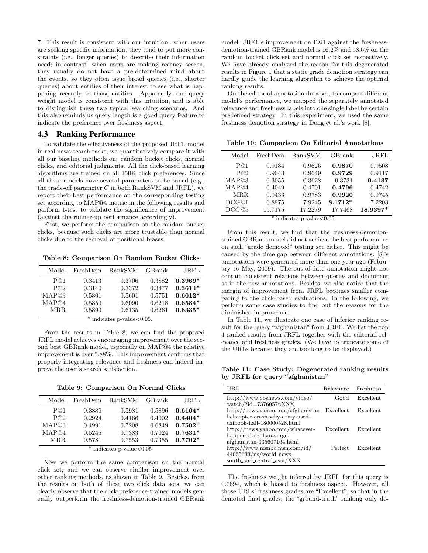7. This result is consistent with our intuition: when users are seeking specific information, they tend to put more constraints (i.e., longer queries) to describe their information need; in contrast, when users are making recency search, they usually do not have a pre-determined mind about the events, so they often issue broad queries (i.e., shorter queries) about entities of their interest to see what is happening recently to those entities. Apparently, our query weight model is consistent with this intuition, and is able to distinguish these two typical searching scenarios. And this also reminds us query length is a good query feature to indicate the preference over freshness aspect.

# 4.3 Ranking Performance

To validate the effectiveness of the proposed JRFL model in real news search tasks, we quantitatively compare it with all our baseline methods on: random bucket clicks, normal clicks, and editorial judgments. All the click-based learning algorithms are trained on all 150K click preferences. Since all these models have several parameters to be tuned (e.g., the trade-off parameter *C* in both RankSVM and JRFL), we report their best performance on the corresponding testing set according to MAP@4 metric in the following results and perform t-test to validate the significance of improvement (against the runner-up performance accordingly).

First, we perform the comparison on the random bucket clicks, because such clicks are more trustable than normal clicks due to the removal of positional biases.

**Table 8: Comparison On Random Bucket Clicks**

| Model                            | FreshDem | RankSVM | GBrank | JRFL      |
|----------------------------------|----------|---------|--------|-----------|
| P@1                              | 0.3413   | 0.3706  | 0.3882 | $0.3969*$ |
| P@2                              | 0.3140   | 0.3372  | 0.3477 | $0.3614*$ |
| MAP@3                            | 0.5301   | 0.5601  | 0.5751 | $0.6012*$ |
| MAP@4                            | 0.5859   | 0.6090  | 0.6218 | $0.6584*$ |
| MR.R.                            | 0.5899   | 0.6135  | 0.6261 | $0.6335*$ |
| $*$ indicates p-value $< 0.05$ . |          |         |        |           |

From the results in Table 8, we can find the proposed JRFL model achieves encouraging improvement over the second best GBRank model, especially on MAP@4 the relative improvement is over 5.88%. This improvement confirms that properly integrating relevance and freshness can indeed improve the user's search satisfaction.

**Table 9: Comparison On Normal Clicks**

| Model | FreshDem | RankSVM | GBrank | JRFL      |
|-------|----------|---------|--------|-----------|
| P@1   | 0.3886   | 0.5981  | 0.5896 | $0.6164*$ |
| P@2   | 0.2924   | 0.4166  | 0.4002 | $0.4404*$ |
| MAP@3 | 0.4991   | 0.7208  | 0.6849 | $0.7502*$ |
| MAP@4 | 0.5245   | 0.7383  | 0.7024 | $0.7631*$ |
| MR.R. | 0.5781   | 0.7553  | 0.7355 | $0.7702*$ |
|       |          | $* :$   |        |           |

\* indicates p-value*<*0.05

Now we perform the same comparison on the normal click set, and we can observe similar improvement over other ranking methods, as shown in Table 9. Besides, from the results on both of these two click data sets, we can clearly observe that the click-preference-trained models generally outperform the freshness-demotion-trained GBRank

model: JRFL's improvement on P@1 against the freshnessdemotion-trained GBRank model is 16.2% and 58.6% on the random bucket click set and normal click set respectively. We have already analyzed the reason for this degenerated results in Figure 1 that a static grade demotion strategy can hardly guide the learning algorithm to achieve the optimal ranking results.

On the editorial annotation data set, to compare different model's performance, we mapped the separately annotated relevance and freshness labels into one single label by certain predefined strategy. In this experiment, we used the same freshness demotion strategy in Dong et al.'s work [8].

| Model      | FreshDem | RankSVM | GBrank  | JRFL     |
|------------|----------|---------|---------|----------|
| P@1        | 0.9184   | 0.9626  | 0.9870  | 0.9508   |
| P@2        | 0.9043   | 0.9649  | 0.9729  | 0.9117   |
| MAP@3      | 0.3055   | 0.3628  | 0.3731  | 0.4137   |
| MAP@4      | 0.4049   | 0.4701  | 0.4796  | 0.4742   |
| <b>MRR</b> | 0.9433   | 0.9783  | 0.9920  | 0.9745   |
| DCG@1      | 6.8975   | 7.9245  | 8.1712* | 7.2203   |
| DCG@5      | 15.7175  | 17.2279 | 17.7468 | 18.9397* |

**Table 10: Comparison On Editorial Annotations**

\* indicates p-value*<*0.05.

From this result, we find that the freshness-demotiontrained GBRank model did not achieve the best performance on such "grade demoted" testing set either. This might be caused by the time gap between different annotations: [8]'s annotations were generated more than one year ago (February to May, 2009). The out-of-date annotation might not contain consistent relations between queries and document as in the new annotations. Besides, we also notice that the margin of improvement from JRFL becomes smaller comparing to the click-based evaluations. In the following, we perform some case studies to find out the reasons for the diminished improvement.

In Table 11, we illustrate one case of inferior ranking result for the query "afghanistan" from JRFL. We list the top 4 ranked results from JRFL together with the editorial relevance and freshness grades. (We have to truncate some of the URLs because they are too long to be displayed.)

**Table 11: Case Study: Degenerated ranking results by JRFL for query "afghanistan"**

| URL                                         | Relevance Freshness |           |
|---------------------------------------------|---------------------|-----------|
| http://www.cbsnews.com/video/               | Good                | Excellent |
| watch/?id= $7376057nXXX$                    |                     |           |
| http://news.yahoo.com/afghanistan-Excellent |                     | Excellent |
| helicopter-crash-why-army-used-             |                     |           |
| chinook-half-180000528.html                 |                     |           |
| http://news.yahoo.com/whatever-             | <b>Excellent</b>    | Excellent |
| happened-civilian-surge-                    |                     |           |
| afghanistan-035607164.html                  |                     |           |
| http://www.msnbc.msn.com/id/                | Perfect.            | Excellent |
| $44055633/ns/world_news-$                   |                     |           |
| south_and_central_asia/XXX                  |                     |           |
|                                             |                     |           |

The freshness weight inferred by JRFL for this query is 0.7694, which is biased to freshness aspect. However, all those URLs' freshness grades are "Excellent", so that in the demoted final grades, the "ground-truth" ranking only de